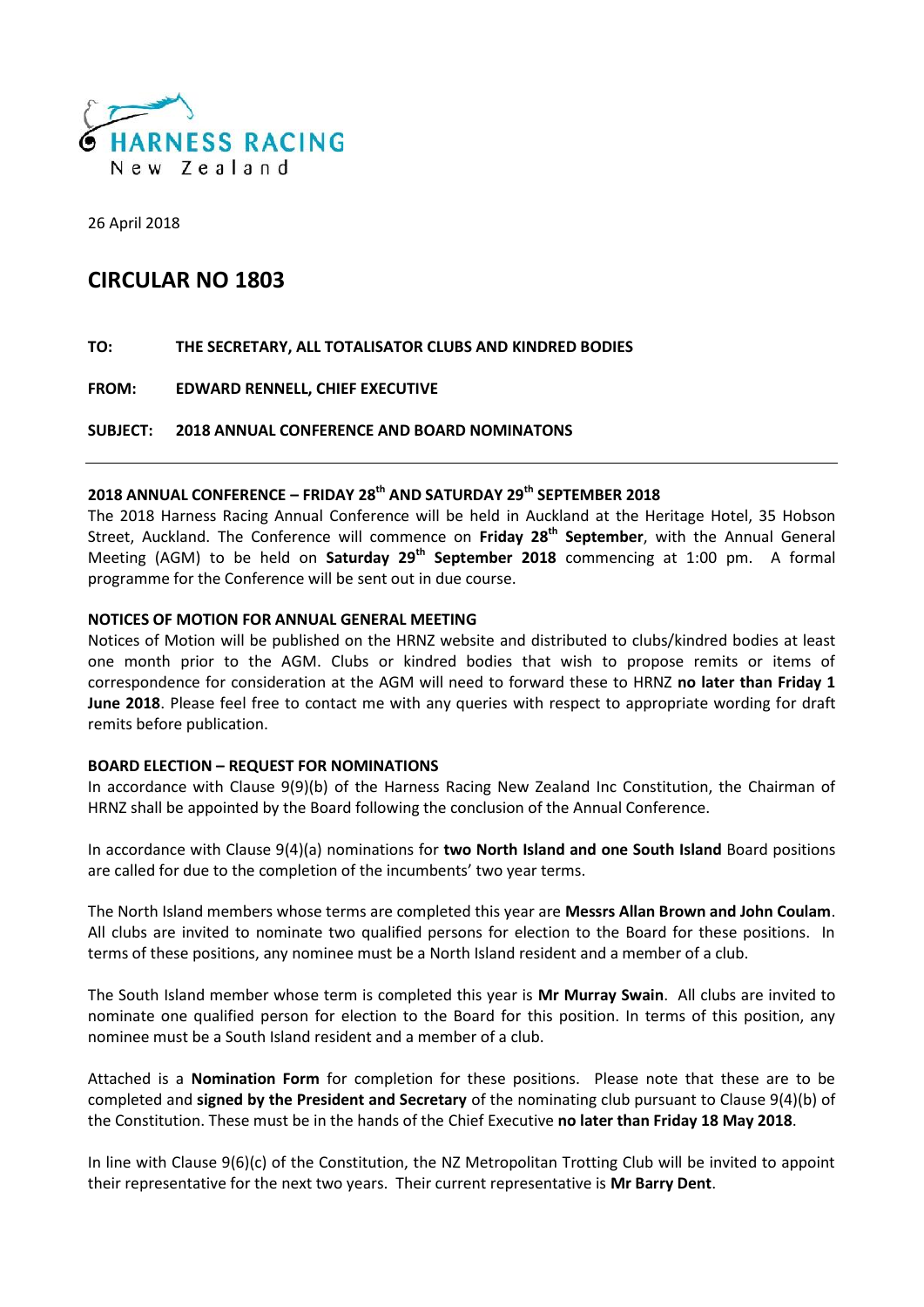

26 April 2018

### **CIRCULAR NO 1803**

#### **TO: THE SECRETARY, ALL TOTALISATOR CLUBS AND KINDRED BODIES**

**FROM: EDWARD RENNELL, CHIEF EXECUTIVE**

#### **SUBJECT: 2018 ANNUAL CONFERENCE AND BOARD NOMINATONS**

#### **2018 ANNUAL CONFERENCE – FRIDAY 28th AND SATURDAY 29th SEPTEMBER 2018**

The 2018 Harness Racing Annual Conference will be held in Auckland at the Heritage Hotel, 35 Hobson Street, Auckland. The Conference will commence on **Friday 28th September**, with the Annual General Meeting (AGM) to be held on **Saturday 29th September 2018** commencing at 1:00 pm. A formal programme for the Conference will be sent out in due course.

#### **NOTICES OF MOTION FOR ANNUAL GENERAL MEETING**

Notices of Motion will be published on the HRNZ website and distributed to clubs/kindred bodies at least one month prior to the AGM. Clubs or kindred bodies that wish to propose remits or items of correspondence for consideration at the AGM will need to forward these to HRNZ **no later than Friday 1 June 2018**. Please feel free to contact me with any queries with respect to appropriate wording for draft remits before publication.

#### **BOARD ELECTION – REQUEST FOR NOMINATIONS**

In accordance with Clause 9(9)(b) of the Harness Racing New Zealand Inc Constitution, the Chairman of HRNZ shall be appointed by the Board following the conclusion of the Annual Conference.

In accordance with Clause 9(4)(a) nominations for **two North Island and one South Island** Board positions are called for due to the completion of the incumbents' two year terms.

The North Island members whose terms are completed this year are **Messrs Allan Brown and John Coulam**. All clubs are invited to nominate two qualified persons for election to the Board for these positions. In terms of these positions, any nominee must be a North Island resident and a member of a club.

The South Island member whose term is completed this year is **Mr Murray Swain**. All clubs are invited to nominate one qualified person for election to the Board for this position. In terms of this position, any nominee must be a South Island resident and a member of a club.

Attached is a **Nomination Form** for completion for these positions. Please note that these are to be completed and **signed by the President and Secretary** of the nominating club pursuant to Clause 9(4)(b) of the Constitution. These must be in the hands of the Chief Executive **no later than Friday 18 May 2018**.

In line with Clause 9(6)(c) of the Constitution, the NZ Metropolitan Trotting Club will be invited to appoint their representative for the next two years. Their current representative is **Mr Barry Dent**.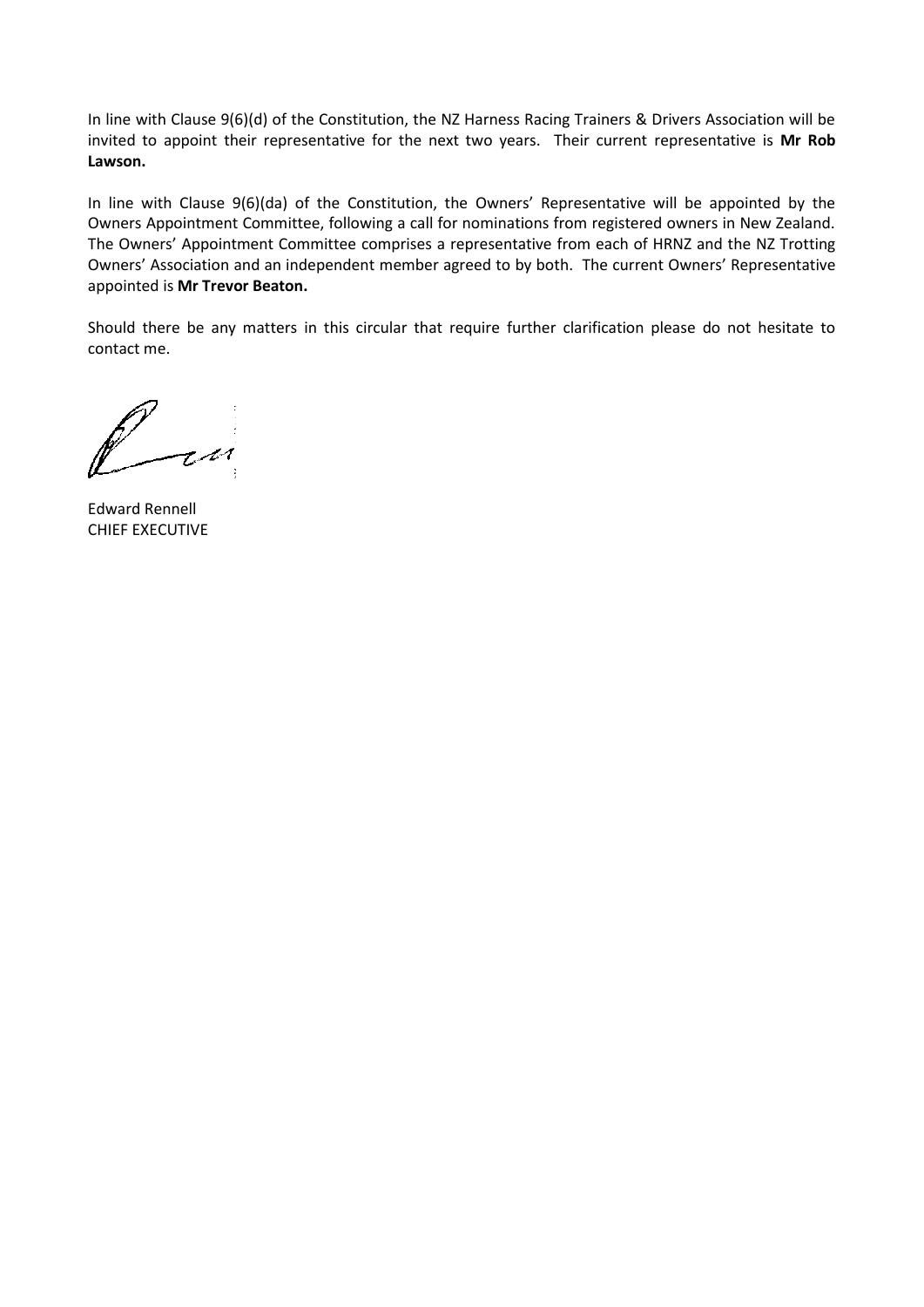In line with Clause 9(6)(d) of the Constitution, the NZ Harness Racing Trainers & Drivers Association will be invited to appoint their representative for the next two years. Their current representative is **Mr Rob Lawson.**

In line with Clause 9(6)(da) of the Constitution, the Owners' Representative will be appointed by the Owners Appointment Committee, following a call for nominations from registered owners in New Zealand. The Owners' Appointment Committee comprises a representative from each of HRNZ and the NZ Trotting Owners' Association and an independent member agreed to by both. The current Owners' Representative appointed is **Mr Trevor Beaton.**

Should there be any matters in this circular that require further clarification please do not hesitate to contact me.

t st

Edward Rennell CHIEF EXECUTIVE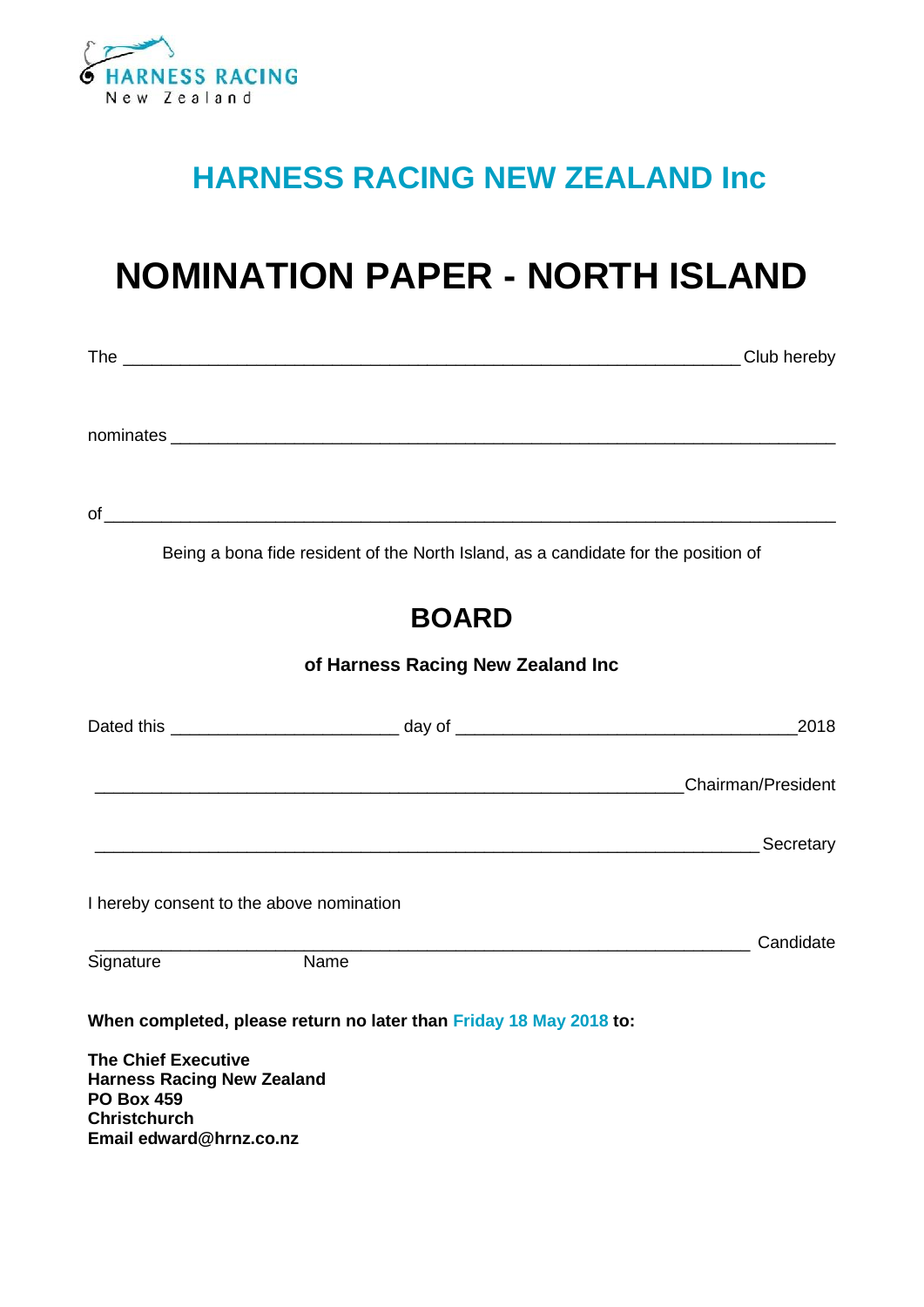

## **HARNESS RACING NEW ZEALAND Inc**

# **NOMINATION PAPER - NORTH ISLAND**

|                                                                                      | Being a bona fide resident of the North Island, as a candidate for the position of                                    |      |
|--------------------------------------------------------------------------------------|-----------------------------------------------------------------------------------------------------------------------|------|
|                                                                                      | <b>BOARD</b>                                                                                                          |      |
|                                                                                      | of Harness Racing New Zealand Inc                                                                                     |      |
|                                                                                      |                                                                                                                       | 2018 |
|                                                                                      | <b>Example 2018</b> 2019 12:30 No. 2019 2019 12:30 No. 2019 2019 12:30 No. 2019 2019 12:30 No. 2019 2019 12:30 No. 20 |      |
|                                                                                      |                                                                                                                       |      |
|                                                                                      | I hereby consent to the above nomination                                                                              |      |
|                                                                                      | $\overline{\mathsf{Name}}$                                                                                            |      |
| Signature                                                                            |                                                                                                                       |      |
|                                                                                      | When completed, please return no later than Friday 18 May 2018 to:                                                    |      |
| <b>The Chief Executive</b><br><b>Harness Racing New Zealand</b><br><b>PO Box 459</b> |                                                                                                                       |      |
| <b>Christchurch</b><br>Email edward@hrnz.co.nz                                       |                                                                                                                       |      |